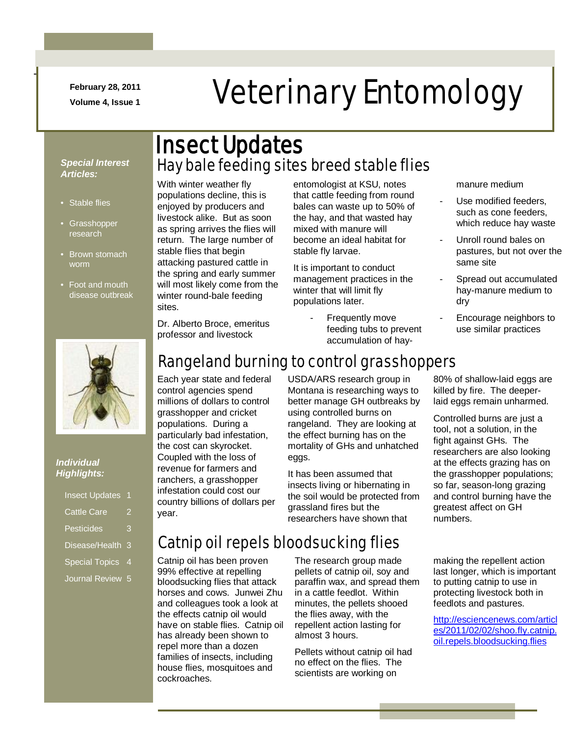**February 28, 2011**

# February 28, 2011<br>Veterinary Entomology

#### *Special Interest Articles:*

• Stable flies

-

- Grasshopper research
- Brown stomach worm
- Foot and mouth disease outbreak



#### *Individual Highlights:*

| <b>Insect Updates</b> |   |
|-----------------------|---|
| <b>Cattle Care</b>    | 2 |
| <b>Pesticides</b>     | 3 |
| Disease/Health        | 3 |
| <b>Special Topics</b> | 4 |
| Journal Review        | 5 |

## Hay bale feeding sites breed stable flies Insect Updates

With winter weather fly populations decline, this is enjoyed by producers and livestock alike. But as soon as spring arrives the flies will return. The large number of stable flies that begin attacking pastured cattle in the spring and early summer will most likely come from the winter round-bale feeding sites.

entomologist at KSU, notes that cattle feeding from round bales can waste up to 50% of the hay, and that wasted hay mixed with manure will become an ideal habitat for stable fly larvae.

It is important to conduct management practices in the winter that will limit fly populations later.

> Frequently move feeding tubs to prevent accumulation of hay

manure medium

- Use modified feeders. such as cone feeders, which reduce hay waste
- Unroll round bales on pastures, but not over the same site
- Spread out accumulated hay-manure medium to dry
- Encourage neighbors to use similar practices

Dr. Alberto Broce, emeritus professor and livestock

## Rangeland burning to control grasshoppers

Each year state and federal control agencies spend millions of dollars to control grasshopper and cricket populations. During a particularly bad infestation, the cost can skyrocket. Coupled with the loss of revenue for farmers and ranchers, a grasshopper infestation could cost our country billions of dollars per year.

USDA/ARS research group in Montana is researching ways to better manage GH outbreaks by using controlled burns on rangeland. They are looking at the effect burning has on the mortality of GHs and unhatched eggs.

It has been assumed that insects living or hibernating in the soil would be protected from grassland fires but the researchers have shown that

80% of shallow-laid eggs are killed by fire. The deeperlaid eggs remain unharmed.

Controlled burns are just a tool, not a solution, in the fight against GHs. The researchers are also looking at the effects grazing has on the grasshopper populations; so far, season-long grazing and control burning have the greatest affect on GH numbers.

## Catnip oil repels bloodsucking flies

Catnip oil has been proven 99% effective at repelling bloodsucking flies that attack horses and cows. Junwei Zhu and colleagues took a look at the effects catnip oil would have on stable flies. Catnip oil has already been shown to repel more than a dozen families of insects, including house flies, mosquitoes and cockroaches.

The research group made pellets of catnip oil, soy and paraffin wax, and spread them in a cattle feedlot. Within minutes, the pellets shooed the flies away, with the repellent action lasting for almost 3 hours.

Pellets without catnip oil had no effect on the flies. The scientists are working on

making the repellent action last longer, which is important to putting catnip to use in protecting livestock both in feedlots and pastures.

[http://esciencenews.com/articl](http://esciencenews.com/articles/2011/02/02/shoo.fly.catnip.oil.repels.bloodsucking.flies) [es/2011/02/02/shoo.fly.catnip.](http://esciencenews.com/articles/2011/02/02/shoo.fly.catnip.oil.repels.bloodsucking.flies) [oil.repels.bloodsucking.flies](http://esciencenews.com/articles/2011/02/02/shoo.fly.catnip.oil.repels.bloodsucking.flies)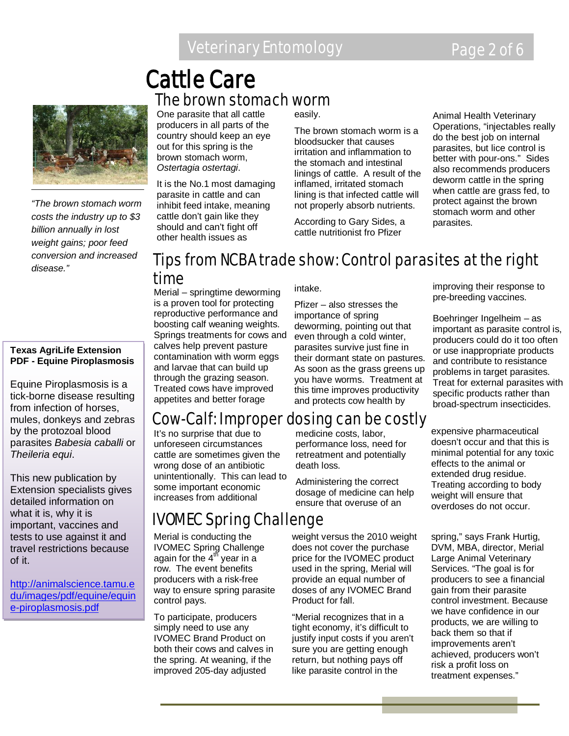## The brown stomach worm Cattle Care



*"The brown stomach worm costs the industry up to \$3 billion annually in lost weight gains; poor feed conversion and increased disease."*

#### **Texas AgriLife Extension PDF - Equine Piroplasmosis**

Equine Piroplasmosis is a tick-borne disease resulting from infection of horses, mules, donkeys and zebras by the protozoal blood parasites *Babesia caballi* or *Theileria equi*.

This new publication by Extension specialists gives detailed information on what it is, why it is important, vaccines and tests to use against it and travel restrictions because of it.

[http://animalscience.tamu.e](http://animalscience.tamu.edu/images/pdf/equine/equine-piroplasmosis.pdf) [du/images/pdf/equine/equin](http://animalscience.tamu.edu/images/pdf/equine/equine-piroplasmosis.pdf) [e-piroplasmosis.pdf](http://animalscience.tamu.edu/images/pdf/equine/equine-piroplasmosis.pdf)

One parasite that all cattle producers in all parts of the country should keep an eye out for this spring is the brown stomach worm, *Ostertagia ostertagi*.

It is the No.1 most damaging parasite in cattle and can inhibit feed intake, meaning cattle don't gain like they should and can't fight off other health issues as

easily.

The brown stomach worm is a bloodsucker that causes irritation and inflammation to the stomach and intestinal linings of cattle. A result of the inflamed, irritated stomach lining is that infected cattle will not properly absorb nutrients.

According to Gary Sides, a cattle nutritionist fro Pfizer

Animal Health Veterinary Operations, "injectables really do the best job on internal parasites, but lice control is better with pour-ons." Sides also recommends producers deworm cattle in the spring when cattle are grass fed, to protect against the brown stomach worm and other parasites.

### Tips from NCBA trade show: Control parasites at the right time

Merial – springtime deworming is a proven tool for protecting reproductive performance and boosting calf weaning weights. Springs treatments for cows and calves help prevent pasture contamination with worm eggs and larvae that can build up through the grazing season. Treated cows have improved appetites and better forage

intake.

Pfizer – also stresses the importance of spring deworming, pointing out that even through a cold winter, parasites survive just fine in their dormant state on pastures. As soon as the grass greens up you have worms. Treatment at this time improves productivity and protects cow health by

improving their response to pre-breeding vaccines.

Boehringer Ingelheim – as important as parasite control is, producers could do it too often or use inappropriate products and contribute to resistance problems in target parasites. Treat for external parasites with specific products rather than broad-spectrum insecticides.

## Cow-Calf: Improper dosing can be costly

It's no surprise that due to unforeseen circumstances cattle are sometimes given the wrong dose of an antibiotic unintentionally. This can lead to some important economic increases from additional

## IVOMEC Spring Challenge

Merial is conducting the IVOMEC Spring Challenge again for the  $4<sup>th</sup>$  year in a row. The event benefits producers with a risk-free way to ensure spring parasite control pays.

To participate, producers simply need to use any IVOMEC Brand Product on both their cows and calves in the spring. At weaning, if the improved 205-day adjusted

medicine costs, labor, performance loss, need for retreatment and potentially death loss.

Administering the correct dosage of medicine can help ensure that overuse of an

weight versus the 2010 weight does not cover the purchase price for the IVOMEC product used in the spring, Merial will provide an equal number of doses of any IVOMEC Brand Product for fall.

"Merial recognizes that in a tight economy, it's difficult to justify input costs if you aren't sure you are getting enough return, but nothing pays off like parasite control in the

expensive pharmaceutical doesn't occur and that this is minimal potential for any toxic effects to the animal or extended drug residue. Treating according to body weight will ensure that overdoses do not occur.

spring," says Frank Hurtig, DVM, MBA, director, Merial Large Animal Veterinary Services. "The goal is for producers to see a financial gain from their parasite control investment. Because we have confidence in our products, we are willing to back them so that if improvements aren't achieved, producers won't risk a profit loss on treatment expenses."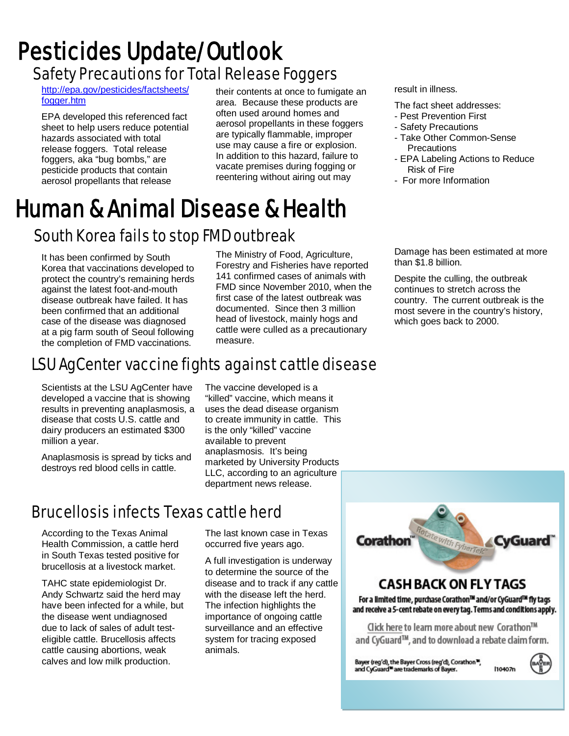## Safety Precautions for Total Release Foggers Pesticides Update/Outlook

[http://epa.gov/pesticides/factsheets/](http://epa.gov/pesticides/factsheets/fogger.htm) [fogger.htm](http://epa.gov/pesticides/factsheets/fogger.htm)

EPA developed this referenced fact sheet to help users reduce potential hazards associated with total release foggers. Total release foggers, aka "bug bombs," are pesticide products that contain aerosol propellants that release

their contents at once to fumigate an area. Because these products are often used around homes and aerosol propellants in these foggers are typically flammable, improper use may cause a fire or explosion. In addition to this hazard, failure to vacate premises during fogging or reentering without airing out may

## South Korea fails to stop FMD outbreak Human & Animal Disease & Health

It has been confirmed by South Korea that vaccinations developed to protect the country's remaining herds against the latest foot-and-mouth disease outbreak have failed. It has been confirmed that an additional case of the disease was diagnosed at a pig farm south of Seoul following the completion of FMD vaccinations.

The Ministry of Food, Agriculture, Forestry and Fisheries have reported 141 confirmed cases of animals with FMD since November 2010, when the first case of the latest outbreak was documented. Since then 3 million head of livestock, mainly hogs and cattle were culled as a precautionary measure.

## LSU AgCenter vaccine fights against cattle disease

Scientists at the LSU AgCenter have developed a vaccine that is showing results in preventing anaplasmosis, a disease that costs U.S. cattle and dairy producers an estimated \$300 million a year.

Anaplasmosis is spread by ticks and destroys red blood cells in cattle.

## Brucellosis infects Texas cattle herd

According to the Texas Animal Health Commission, a cattle herd in South Texas tested positive for brucellosis at a livestock market.

TAHC state epidemiologist Dr. Andy Schwartz said the herd may have been infected for a while, but the disease went undiagnosed due to lack of sales of adult testeligible cattle. Brucellosis affects cattle causing abortions, weak calves and low milk production.

"killed" vaccine, which means it uses the dead disease organism to create immunity in cattle. This is the only "killed" vaccine available to prevent anaplasmosis. It's being marketed by University Products LLC, according to an agriculture department news release.

The vaccine developed is a

The last known case in Texas occurred five years ago.

A full investigation is underway to determine the source of the disease and to track if any cattle with the disease left the herd. The infection highlights the importance of ongoing cattle surveillance and an effective system for tracing exposed animals.

result in illness.

- The fact sheet addresses:
- Pest Prevention First
- Safety Precautions
- Take Other Common-Sense **Precautions**
- EPA Labeling Actions to Reduce Risk of Fire
- For more Information

Damage has been estimated at more than \$1.8 billion.

Despite the culling, the outbreak continues to stretch across the country. The current outbreak is the most severe in the country's history, which goes back to 2000.

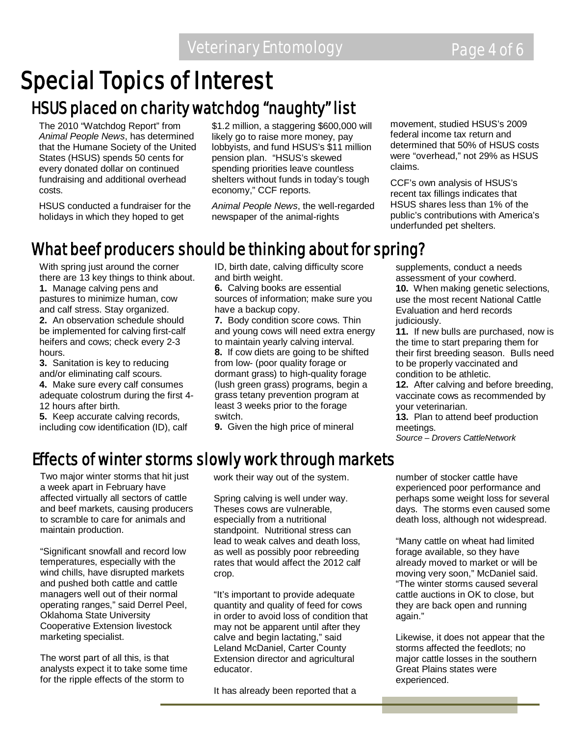## Special Topics of Interest

## HSUS placed on charity watchdog "naughty" list

The 2010 "Watchdog Report" from *Animal People News*, has determined that the Humane Society of the United States (HSUS) spends 50 cents for every donated dollar on continued fundraising and additional overhead costs.

HSUS conducted a fundraiser for the holidays in which they hoped to get

\$1.2 million, a staggering \$600,000 will likely go to raise more money, pay lobbyists, and fund HSUS's \$11 million pension plan. "HSUS's skewed spending priorities leave countless shelters without funds in today's tough economy," CCF reports.

*Animal People News*, the well-regarded newspaper of the animal-rights

movement, studied HSUS's 2009 federal income tax return and determined that 50% of HSUS costs were "overhead," not 29% as HSUS claims.

CCF's own analysis of HSUS's recent tax fillings indicates that HSUS shares less than 1% of the public's contributions with America's underfunded pet shelters.

## What beef producers should be thinking about for spring?

With spring just around the corner there are 13 key things to think about. **1.** Manage calving pens and pastures to minimize human, cow

and calf stress. Stay organized. **2.** An observation schedule should be implemented for calving first-calf heifers and cows; check every 2-3 hours.

**3.** Sanitation is key to reducing and/or eliminating calf scours.

**4.** Make sure every calf consumes adequate colostrum during the first 4- 12 hours after birth.

**5.** Keep accurate calving records, including cow identification (ID), calf ID, birth date, calving difficulty score and birth weight.

**6.** Calving books are essential sources of information; make sure you have a backup copy.

**7.** Body condition score cows. Thin and young cows will need extra energy to maintain yearly calving interval. **8.** If cow diets are going to be shifted from low- (poor quality forage or dormant grass) to high-quality forage (lush green grass) programs, begin a grass tetany prevention program at least 3 weeks prior to the forage switch.

**9.** Given the high price of mineral

supplements, conduct a needs assessment of your cowherd. **10.** When making genetic selections, use the most recent National Cattle Evaluation and herd records judiciously.

**11.** If new bulls are purchased, now is the time to start preparing them for their first breeding season. Bulls need to be properly vaccinated and condition to be athletic.

**12.** After calving and before breeding, vaccinate cows as recommended by your veterinarian.

**13.** Plan to attend beef production meetings.

*Source – Drovers CattleNetwork*

## Effects of winter storms slowly work through markets

Two major winter storms that hit just a week apart in February have affected virtually all sectors of cattle and beef markets, causing producers to scramble to care for animals and maintain production.

"Significant snowfall and record low temperatures, especially with the wind chills, have disrupted markets and pushed both cattle and cattle managers well out of their normal operating ranges," said Derrel Peel, Oklahoma State University Cooperative Extension livestock marketing specialist.

The worst part of all this, is that analysts expect it to take some time for the ripple effects of the storm to

work their way out of the system.

Spring calving is well under way. Theses cows are vulnerable, especially from a nutritional standpoint. Nutritional stress can lead to weak calves and death loss, as well as possibly poor rebreeding rates that would affect the 2012 calf crop.

"It's important to provide adequate quantity and quality of feed for cows in order to avoid loss of condition that may not be apparent until after they calve and begin lactating," said Leland McDaniel, Carter County Extension director and agricultural educator.

It has already been reported that a

number of stocker cattle have experienced poor performance and perhaps some weight loss for several days. The storms even caused some death loss, although not widespread.

"Many cattle on wheat had limited forage available, so they have already moved to market or will be moving very soon," McDaniel said. "The winter storms caused several cattle auctions in OK to close, but they are back open and running again."

Likewise, it does not appear that the storms affected the feedlots; no major cattle losses in the southern Great Plains states were experienced.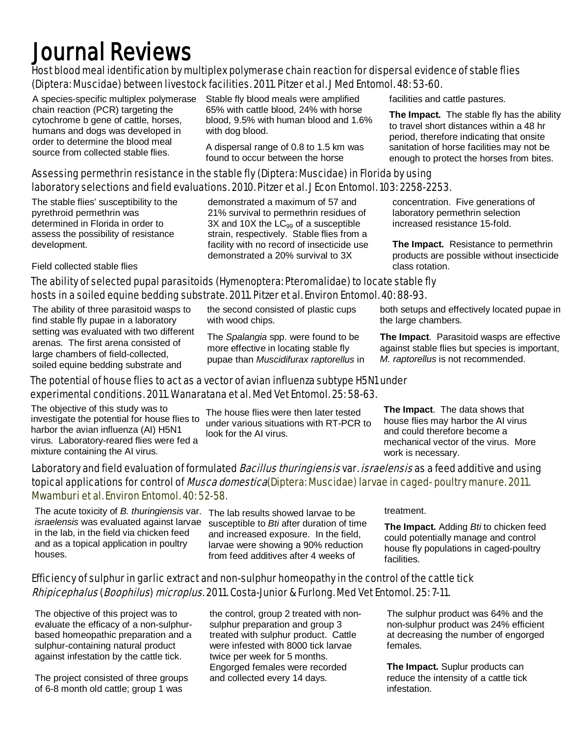## Journal Reviews

#### Host blood meal identification by multiplex polymerase chain reaction for dispersal evidence of stable flies (Diptera: Muscidae) between livestock facilities. 2011. Pitzer et al. J Med Entomol. 48: 53-60.

A species-specific multiplex polymerase chain reaction (PCR) targeting the cytochrome b gene of cattle, horses, humans and dogs was developed in order to determine the blood meal source from collected stable flies.

Stable fly blood meals were amplified 65% with cattle blood, 24% with horse blood, 9.5% with human blood and 1.6% with dog blood.

A dispersal range of 0.8 to 1.5 km was found to occur between the horse

#### Assessing permethrin resistance in the stable fly (Diptera: Muscidae) in Florida by using laboratory selections and field evaluations. 2010. Pitzer et al. J Econ Entomol. 103: 2258-2253.

The stable flies' susceptibility to the pyrethroid permethrin was determined in Florida in order to assess the possibility of resistance development.

Field collected stable flies

demonstrated a maximum of 57 and 21% survival to permethrin residues of  $3X$  and  $10X$  the  $LC_{99}$  of a susceptible strain, respectively. Stable flies from a facility with no record of insecticide use demonstrated a 20% survival to 3X

facilities and cattle pastures.

**The Impact.** The stable fly has the ability to travel short distances within a 48 hr period, therefore indicating that onsite sanitation of horse facilities may not be enough to protect the horses from bites.

concentration. Five generations of laboratory permethrin selection increased resistance 15-fold.

**The Impact.** Resistance to permethrin products are possible without insecticide class rotation.

#### The ability of selected pupal parasitoids (Hymenoptera: Pteromalidae) to locate stable fly hosts in a soiled equine bedding substrate. 2011. Pitzer et al. Environ Entomol. 40: 88-93.

The ability of three parasitoid wasps to find stable fly pupae in a laboratory setting was evaluated with two different arenas. The first arena consisted of large chambers of field-collected, soiled equine bedding substrate and

the second consisted of plastic cups with wood chips.

The *Spalangia* spp. were found to be more effective in locating stable fly pupae than *Muscidifurax raptorellus* in both setups and effectively located pupae in the large chambers.

**The Impact**. Parasitoid wasps are effective against stable flies but species is important, *M. raptorellus* is not recommended.

#### The potential of house flies to act as a vector of avian influenza subtype H5N1 under experimental conditions. 2011. Wanaratana et al. Med Vet Entomol. 25: 58-63.

The objective of this study was to investigate the potential for house flies to harbor the avian influenza (AI) H5N1 virus. Laboratory-reared flies were fed a mixture containing the AI virus.

The house flies were then later tested under various situations with RT-PCR to look for the AI virus.

**The Impact**. The data shows that house flies may harbor the AI virus and could therefore become a mechanical vector of the virus. More work is necessary.

#### Laboratory and field evaluation of formulated *Bacillus thuringiensis* var. *israelensis* as a feed additive and using topical applications for control of *Musca domestica*(Diptera: Muscidae) larvae in caged- poultry manure. 2011. Mwamburi et al. Environ Entomol. 40: 52-58.

The acute toxicity of *B. thuringiensis* var. *israelensis* was evaluated against larvae susceptible to *Bti* after duration of time in the lab, in the field via chicken feed and as a topical application in poultry houses.

The lab results showed larvae to be and increased exposure. In the field, larvae were showing a 90% reduction from feed additives after 4 weeks of

treatment.

**The Impact.** Adding *Bti* to chicken feed could potentially manage and control house fly populations in caged-poultry facilities.

#### Efficiency of sulphur in garlic extract and non-sulphur homeopathy in the control of the cattle tick Rhipicephalus (Boophilus) microplus. 2011. Costa-Junior & Furlong. Med Vet Entomol. 25: 7-11.

The objective of this project was to evaluate the efficacy of a non-sulphurbased homeopathic preparation and a sulphur-containing natural product against infestation by the cattle tick.

The project consisted of three groups of 6-8 month old cattle; group 1 was

the control, group 2 treated with nonsulphur preparation and group 3 treated with sulphur product. Cattle were infested with 8000 tick larvae twice per week for 5 months. Engorged females were recorded and collected every 14 days.

The sulphur product was 64% and the non-sulphur product was 24% efficient at decreasing the number of engorged females.

**The Impact.** Suplur products can reduce the intensity of a cattle tick infestation.